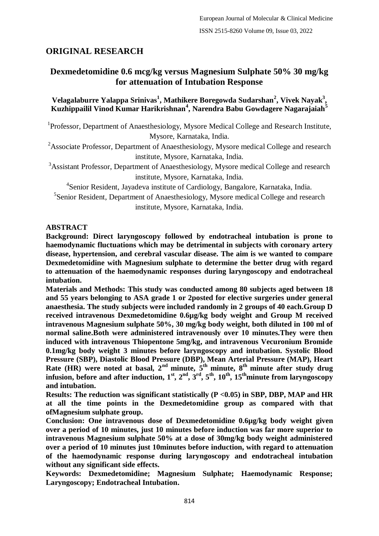# **ORIGINAL RESEARCH**

# **Dexmedetomidine 0.6 mcg/kg versus Magnesium Sulphate 50% 30 mg/kg for attenuation of Intubation Response**

## **Velagalaburre Yalappa Srinivas<sup>1</sup> , Mathikere Boregowda Sudarshan<sup>2</sup> , Vivek Nayak<sup>3</sup> , Kuzhippailil Vinod Kumar Harikrishnan<sup>4</sup> , Narendra Babu Gowdagere Nagarajaiah<sup>5</sup>**

<sup>1</sup>Professor, Department of Anaesthesiology, Mysore Medical College and Research Institute, Mysore, Karnataka, India.

<sup>2</sup>Associate Professor, Department of Anaesthesiology, Mysore medical College and research institute, Mysore, Karnataka, India.

<sup>3</sup>Assistant Professor, Department of Anaesthesiology, Mysore medical College and research institute, Mysore, Karnataka, India.

<sup>4</sup>Senior Resident, Jayadeva institute of Cardiology, Bangalore, Karnataka, India.

<sup>5</sup>Senior Resident, Department of Anaesthesiology, Mysore medical College and research institute, Mysore, Karnataka, India.

#### **ABSTRACT**

**Background: Direct laryngoscopy followed by endotracheal intubation is prone to haemodynamic fluctuations which may be detrimental in subjects with coronary artery disease, hypertension, and cerebral vascular disease. The aim is we wanted to compare Dexmedetomidine with Magnesium sulphate to determine the better drug with regard to attenuation of the haemodynamic responses during laryngoscopy and endotracheal intubation.**

**Materials and Methods: This study was conducted among 80 subjects aged between 18 and 55 years belonging to ASA grade 1 or 2posted for elective surgeries under general anaesthesia. The study subjects were included randomly in 2 groups of 40 each.Group D received intravenous Dexmedetomidine 0.6µg/kg body weight and Group M received intravenous Magnesium sulphate 50%, 30 mg/kg body weight, both diluted in 100 ml of normal saline.Both were administered intravenously over 10 minutes.They were then induced with intravenous Thiopentone 5mg/kg, and intravenous Vecuronium Bromide 0.1mg/kg body weight 3 minutes before laryngoscopy and intubation. Systolic Blood Pressure (SBP), Diastolic Blood Pressure (DBP), Mean Arterial Pressure (MAP), Heart Rate (HR) were noted at basal, 2nd minute, 5th minute, 8th minute after study drug**  infusion, before and after induction,  $1^{\text{st}}, 2^{\text{nd}}, 3^{\text{rd}}, 5^{\text{th}}, 10^{\text{th}}, 15^{\text{th}}$ minute from laryngoscopy **and intubation.**

**Results: The reduction was significant statistically (P <0.05) in SBP, DBP, MAP and HR at all the time points in the Dexmedetomidine group as compared with that ofMagnesium sulphate group.**

**Conclusion: One intravenous dose of Dexmedetomidine 0.6µg/kg body weight given over a period of 10 minutes, just 10 minutes before induction was far more superior to intravenous Magnesium sulphate 50% at a dose of 30mg/kg body weight administered over a period of 10 minutes just 10minutes before induction, with regard to attenuation of the haemodynamic response during laryngoscopy and endotracheal intubation without any significant side effects.**

**Keywords: Dexmedetomidine; Magnesium Sulphate; Haemodynamic Response; Laryngoscopy; Endotracheal Intubation.**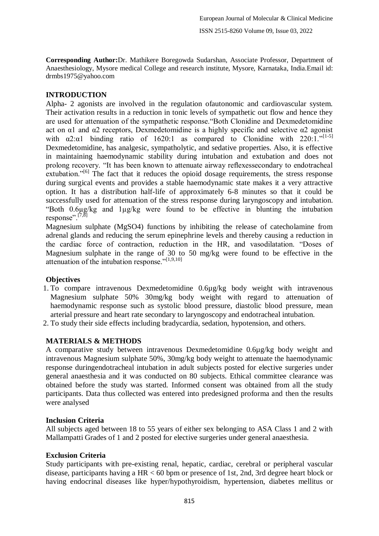**Corresponding Author:**Dr. Mathikere Boregowda Sudarshan, Associate Professor, Department of Anaesthesiology, Mysore medical College and research institute, Mysore, Karnataka, India.Email id: drmbs1975@yahoo.com

## **INTRODUCTION**

Alpha- 2 agonists are involved in the regulation ofautonomic and cardiovascular system. Their activation results in a reduction in tonic levels of sympathetic out flow and hence they are used for attenuation of the sympathetic response."Both Clonidine and Dexmedetomidine act on  $\alpha$ 1 and  $\alpha$ 2 receptors, Dexmedetomidine is a highly specific and selective  $\alpha$ 2 agonist with  $\alpha$ 2: $\alpha$ 1 binding ratio of 1620:1 as compared to Clonidine with 220:1."<sup>[1-5]</sup> Dexmedetomidine, has analgesic, sympatholytic, and sedative properties. Also, it is effective in maintaining haemodynamic stability during intubation and extubation and does not prolong recovery. "It has been known to attenuate airway reflexessecondary to endotracheal extubation."<sup>[6]</sup> The fact that it reduces the opioid dosage requirements, the stress response during surgical events and provides a stable haemodynamic state makes it a very attractive option. It has a distribution half-life of approximately 6-8 minutes so that it could be successfully used for attenuation of the stress response during laryngoscopy and intubation. "Both 0.6µg/kg and 1µg/kg were found to be effective in blunting the intubation response". $[7,8]$ 

Magnesium sulphate (MgSO4) functions by inhibiting the release of catecholamine from adrenal glands and reducing the serum epinephrine levels and thereby causing a reduction in the cardiac force of contraction, reduction in the HR, and vasodilatation. "Doses of Magnesium sulphate in the range of 30 to 50 mg/kg were found to be effective in the attenuation of the intubation response." $[1,9,10]$ 

## **Objectives**

- 1. To compare intravenous Dexmedetomidine 0.6µg/kg body weight with intravenous Magnesium sulphate 50% 30mg/kg body weight with regard to attenuation of haemodynamic response such as systolic blood pressure, diastolic blood pressure, mean arterial pressure and heart rate secondary to laryngoscopy and endotracheal intubation.
- 2. To study their side effects including bradycardia, sedation, hypotension, and others.

## **MATERIALS & METHODS**

A comparative study between intravenous Dexmedetomidine 0.6µg/kg body weight and intravenous Magnesium sulphate 50%, 30mg/kg body weight to attenuate the haemodynamic response duringendotracheal intubation in adult subjects posted for elective surgeries under general anaesthesia and it was conducted on 80 subjects. Ethical committee clearance was obtained before the study was started. Informed consent was obtained from all the study participants. Data thus collected was entered into predesigned proforma and then the results were analysed

## **Inclusion Criteria**

All subjects aged between 18 to 55 years of either sex belonging to ASA Class 1 and 2 with Mallampatti Grades of 1 and 2 posted for elective surgeries under general anaesthesia.

## **Exclusion Criteria**

Study participants with pre-existing renal, hepatic, cardiac, cerebral or peripheral vascular disease, participants having a HR < 60 bpm or presence of 1st, 2nd, 3rd degree heart block or having endocrinal diseases like hyper/hypothyroidism, hypertension, diabetes mellitus or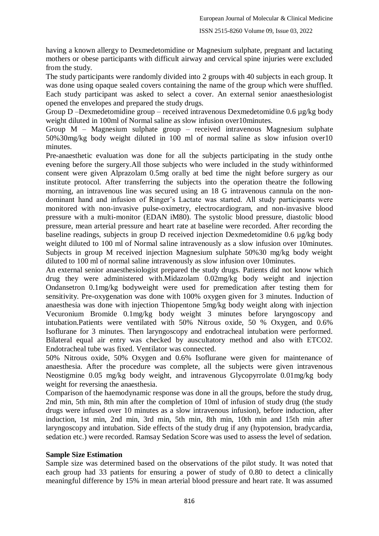having a known allergy to Dexmedetomidine or Magnesium sulphate, pregnant and lactating mothers or obese participants with difficult airway and cervical spine injuries were excluded from the study.

The study participants were randomly divided into 2 groups with 40 subjects in each group. It was done using opaque sealed covers containing the name of the group which were shuffled. Each study participant was asked to select a cover. An external senior anaesthesiologist opened the envelopes and prepared the study drugs.

Group D –Dexmedetomidine group – received intravenous Dexmedetomidine 0.6 µg/kg body weight diluted in 100ml of Normal saline as slow infusion over10minutes.

Group M – Magnesium sulphate group – received intravenous Magnesium sulphate 50%30mg/kg body weight diluted in 100 ml of normal saline as slow infusion over10 minutes.

Pre-anaesthetic evaluation was done for all the subjects participating in the study onthe evening before the surgery.All those subjects who were included in the study withinformed consent were given Alprazolam 0.5mg orally at bed time the night before surgery as our institute protocol. After transferring the subjects into the operation theatre the following morning, an intravenous line was secured using an 18 G intravenous cannula on the nondominant hand and infusion of Ringer"s Lactate was started. All study participants were monitored with non-invasive pulse-oximetry, electrocardiogram, and non-invasive blood pressure with a multi-monitor (EDAN iM80). The systolic blood pressure, diastolic blood pressure, mean arterial pressure and heart rate at baseline were recorded. After recording the baseline readings, subjects in group D received injection Dexmedetomidine 0.6 µg/kg body weight diluted to 100 ml of Normal saline intravenously as a slow infusion over 10minutes. Subjects in group M received injection Magnesium sulphate 50%30 mg/kg body weight diluted to 100 ml of normal saline intravenously as slow infusion over 10minutes.

An external senior anaesthesiologist prepared the study drugs. Patients did not know which drug they were administered with.Midazolam 0.02mg/kg body weight and injection Ondansetron 0.1mg/kg bodyweight were used for premedication after testing them for sensitivity. Pre-oxygenation was done with 100% oxygen given for 3 minutes. Induction of anaesthesia was done with injection Thiopentone 5mg/kg body weight along with injection Vecuronium Bromide 0.1mg/kg body weight 3 minutes before laryngoscopy and intubation.Patients were ventilated with 50% Nitrous oxide, 50 % Oxygen, and 0.6% Isoflurane for 3 minutes. Then laryngoscopy and endotracheal intubation were performed. Bilateral equal air entry was checked by auscultatory method and also with ETCO2. Endotracheal tube was fixed. Ventilator was connected.

50% Nitrous oxide, 50% Oxygen and 0.6% Isoflurane were given for maintenance of anaesthesia. After the procedure was complete, all the subjects were given intravenous Neostigmine 0.05 mg/kg body weight, and intravenous Glycopyrrolate 0.01mg/kg body weight for reversing the anaesthesia.

Comparison of the haemodynamic response was done in all the groups, before the study drug, 2nd min, 5th min, 8th min after the completion of 10ml of infusion of study drug (the study drugs were infused over 10 minutes as a slow intravenous infusion), before induction, after induction, 1st min, 2nd min, 3rd min, 5th min, 8th min, 10th min and 15th min after laryngoscopy and intubation. Side effects of the study drug if any (hypotension, bradycardia, sedation etc.) were recorded. Ramsay Sedation Score was used to assess the level of sedation.

#### **Sample Size Estimation**

Sample size was determined based on the observations of the pilot study. It was noted that each group had 33 patients for ensuring a power of study of 0.80 to detect a clinically meaningful difference by 15% in mean arterial blood pressure and heart rate. It was assumed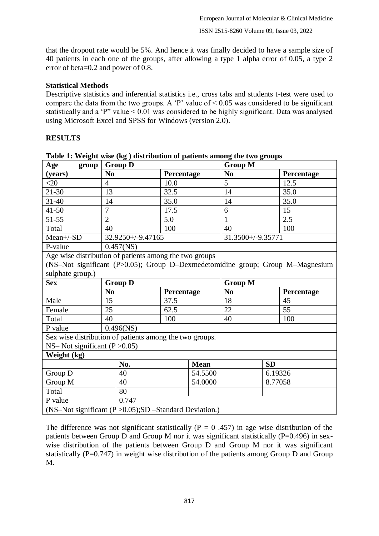that the dropout rate would be 5%. And hence it was finally decided to have a sample size of 40 patients in each one of the groups, after allowing a type 1 alpha error of 0.05, a type 2 error of beta=0.2 and power of 0.8.

## **Statistical Methods**

Descriptive statistics and inferential statistics i.e., cross tabs and students t-test were used to compare the data from the two groups. A 'P' value of  $\leq 0.05$  was considered to be significant statistically and a "P" value < 0.01 was considered to be highly significant. Data was analysed using Microsoft Excel and SPSS for Windows (version 2.0).

## **RESULTS**

| Age<br>group                                                                   | <b>Group D</b>    |             |                   | <b>Group M</b> |  |  |  |  |
|--------------------------------------------------------------------------------|-------------------|-------------|-------------------|----------------|--|--|--|--|
| (years)                                                                        | N <sub>0</sub>    | Percentage  | N <sub>0</sub>    | Percentage     |  |  |  |  |
| $<$ 20                                                                         | $\overline{4}$    | 10.0        | 5                 | 12.5           |  |  |  |  |
| $21 - 30$                                                                      | 13                | 32.5        | 14                | 35.0           |  |  |  |  |
| $31 - 40$                                                                      | 14                | 35.0        | 14                | 35.0           |  |  |  |  |
| $41 - 50$                                                                      | $\overline{7}$    | 17.5        | 6                 | 15             |  |  |  |  |
| $51 - 55$                                                                      | $\overline{2}$    | 5.0         | 1                 | 2.5            |  |  |  |  |
| Total                                                                          | 40                | 100         | 40                | 100            |  |  |  |  |
| $Mean+/SD$                                                                     | 32.9250+/-9.47165 |             | 31.3500+/-9.35771 |                |  |  |  |  |
| P-value                                                                        | $0.457$ (NS)      |             |                   |                |  |  |  |  |
| Age wise distribution of patients among the two groups                         |                   |             |                   |                |  |  |  |  |
| (NS-Not significant (P>0.05); Group D-Dexmedetomidine group; Group M-Magnesium |                   |             |                   |                |  |  |  |  |
| sulphate group.)                                                               |                   |             |                   |                |  |  |  |  |
| <b>Sex</b>                                                                     | <b>Group D</b>    |             |                   | <b>Group M</b> |  |  |  |  |
|                                                                                | N <sub>0</sub>    | Percentage  | N <sub>0</sub>    | Percentage     |  |  |  |  |
| Male                                                                           | 15                | 37.5        | 18                | 45             |  |  |  |  |
| Female                                                                         | 25                | 62.5        | 22                | 55             |  |  |  |  |
| Total                                                                          | 40                | 100         | 40                | 100            |  |  |  |  |
| P value                                                                        | $0.496$ (NS)      |             |                   |                |  |  |  |  |
| Sex wise distribution of patients among the two groups.                        |                   |             |                   |                |  |  |  |  |
| NS- Not significant ( $P > 0.05$ )                                             |                   |             |                   |                |  |  |  |  |
| Weight (kg)                                                                    |                   |             |                   |                |  |  |  |  |
|                                                                                | No.               | <b>Mean</b> | <b>SD</b>         |                |  |  |  |  |
| Group D                                                                        | 40                | 54.5500     |                   | 6.19326        |  |  |  |  |
| Group M                                                                        | 40                | 54.0000     |                   | 8.77058        |  |  |  |  |
| Total                                                                          | 80                |             |                   |                |  |  |  |  |
| P value                                                                        | 0.747             |             |                   |                |  |  |  |  |
| (NS-Not significant $(P > 0.05)$ ; SD -Standard Deviation.)                    |                   |             |                   |                |  |  |  |  |

**Table 1: Weight wise (kg ) distribution of patients among the two groups**

The difference was not significant statistically ( $P = 0.457$ ) in age wise distribution of the patients between Group D and Group M nor it was significant statistically (P=0.496) in sexwise distribution of the patients between Group D and Group M nor it was significant statistically ( $P=0.747$ ) in weight wise distribution of the patients among Group D and Group M.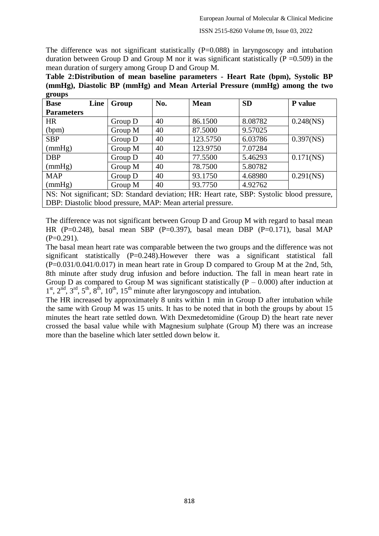The difference was not significant statistically  $(P=0.088)$  in laryngoscopy and intubation duration between Group D and Group M nor it was significant statistically  $(P = 0.509)$  in the mean duration of surgery among Group D and Group M.

**Table 2:Distribution of mean baseline parameters - Heart Rate (bpm), Systolic BP (mmHg), Diastolic BP (mmHg) and Mean Arterial Pressure (mmHg) among the two groups**

| <b>Base</b>                                                                                | Line | Group   | No. | <b>Mean</b> | <b>SD</b> | P value      |  |
|--------------------------------------------------------------------------------------------|------|---------|-----|-------------|-----------|--------------|--|
| <b>Parameters</b>                                                                          |      |         |     |             |           |              |  |
| <b>HR</b>                                                                                  |      | Group D | 40  | 86.1500     | 8.08782   | $0.248$ (NS) |  |
| (bpm)                                                                                      |      | Group M | 40  | 87.5000     | 9.57025   |              |  |
| <b>SBP</b>                                                                                 |      | Group D | 40  | 123.5750    | 6.03786   | $0.397$ (NS) |  |
| (mmHg)                                                                                     |      | Group M | 40  | 123.9750    | 7.07284   |              |  |
| <b>DBP</b>                                                                                 |      | Group D | 40  | 77.5500     | 5.46293   | $0.171$ (NS) |  |
| (mmHg)                                                                                     |      | Group M | 40  | 78.7500     | 5.80782   |              |  |
| <b>MAP</b>                                                                                 |      | Group D | 40  | 93.1750     | 4.68980   | $0.291$ (NS) |  |
| (mmHg)                                                                                     |      | Group M | 40  | 93.7750     | 4.92762   |              |  |
| NS: Not significant; SD: Standard deviation; HR: Heart rate, SBP: Systolic blood pressure, |      |         |     |             |           |              |  |

DBP: Diastolic blood pressure, MAP: Mean arterial pressure.

The difference was not significant between Group D and Group M with regard to basal mean HR (P=0.248), basal mean SBP (P=0.397), basal mean DBP (P=0.171), basal MAP  $(P=0.291)$ .

The basal mean heart rate was comparable between the two groups and the difference was not significant statistically (P=0.248).However there was a significant statistical fall (P=0.031/0.041/0.017) in mean heart rate in Group D compared to Group M at the 2nd, 5th, 8th minute after study drug infusion and before induction. The fall in mean heart rate in Group D as compared to Group M was significant statistically  $(P - 0.000)$  after induction at  $1<sup>st</sup>$ ,  $2<sup>nd</sup>$ ,  $3<sup>rd</sup>$ ,  $5<sup>th</sup>$ ,  $8<sup>th</sup>$ ,  $10<sup>th</sup>$ ,  $15<sup>th</sup>$  minute after laryngoscopy and intubation.

The HR increased by approximately 8 units within 1 min in Group D after intubation while the same with Group M was 15 units. It has to be noted that in both the groups by about 15 minutes the heart rate settled down. With Dexmedetomidine (Group D) the heart rate never crossed the basal value while with Magnesium sulphate (Group M) there was an increase more than the baseline which later settled down below it.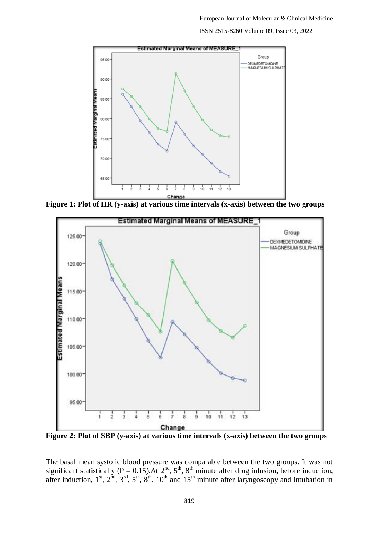

**Figure 1: Plot of HR (y-axis) at various time intervals (x-axis) between the two groups**



**Figure 2: Plot of SBP (y-axis) at various time intervals (x-axis) between the two groups**

The basal mean systolic blood pressure was comparable between the two groups. It was not significant statistically ( $P = 0.15$ ). At  $2<sup>nd</sup>$ ,  $5<sup>th</sup>$ ,  $8<sup>th</sup>$  minute after drug infusion, before induction, after induction,  $1^{st}$ ,  $2^{nd}$ ,  $3^{rd}$ ,  $5^{th}$ ,  $8^{th}$ ,  $10^{th}$  and  $15^{th}$  minute after laryngoscopy and intubation in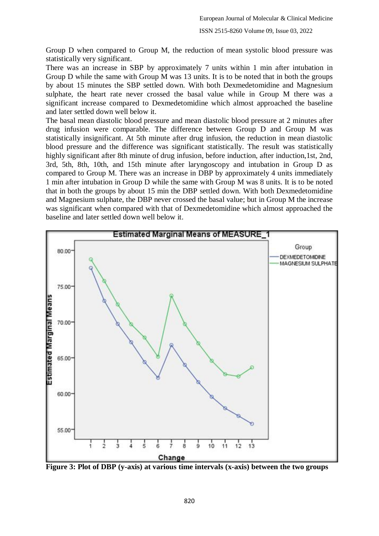Group D when compared to Group M, the reduction of mean systolic blood pressure was statistically very significant.

There was an increase in SBP by approximately 7 units within 1 min after intubation in Group D while the same with Group M was 13 units. It is to be noted that in both the groups by about 15 minutes the SBP settled down. With both Dexmedetomidine and Magnesium sulphate, the heart rate never crossed the basal value while in Group M there was a significant increase compared to Dexmedetomidine which almost approached the baseline and later settled down well below it.

The basal mean diastolic blood pressure and mean diastolic blood pressure at 2 minutes after drug infusion were comparable. The difference between Group D and Group M was statistically insignificant. At 5th minute after drug infusion, the reduction in mean diastolic blood pressure and the difference was significant statistically. The result was statistically highly significant after 8th minute of drug infusion, before induction, after induction,1st, 2nd, 3rd, 5th, 8th, 10th, and 15th minute after laryngoscopy and intubation in Group D as compared to Group M. There was an increase in DBP by approximately 4 units immediately 1 min after intubation in Group D while the same with Group M was 8 units. It is to be noted that in both the groups by about 15 min the DBP settled down. With both Dexmedetomidine and Magnesium sulphate, the DBP never crossed the basal value; but in Group M the increase was significant when compared with that of Dexmedetomidine which almost approached the baseline and later settled down well below it.



**Figure 3: Plot of DBP (y-axis) at various time intervals (x-axis) between the two groups**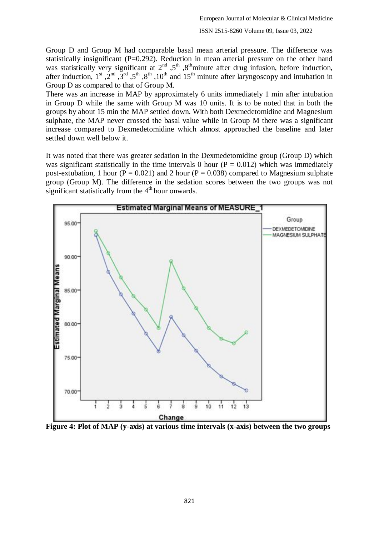Group D and Group M had comparable basal mean arterial pressure. The difference was statistically insignificant (P=0.292). Reduction in mean arterial pressure on the other hand was statistically very significant at  $2<sup>nd</sup>$ ,  $5<sup>th</sup>$ ,  $8<sup>th</sup>$ minute after drug infusion, before induction, after induction, 1<sup>st</sup>,  $2^{nd}$ ,  $3^{rd}$ ,  $5^{th}$ ,  $8^{th}$ ,  $10^{th}$  and  $15^{th}$  minute after laryngoscopy and intubation in Group D as compared to that of Group M.

There was an increase in MAP by approximately 6 units immediately 1 min after intubation in Group D while the same with Group M was 10 units. It is to be noted that in both the groups by about 15 min the MAP settled down. With both Dexmedetomidine and Magnesium sulphate, the MAP never crossed the basal value while in Group M there was a significant increase compared to Dexmedetomidine which almost approached the baseline and later settled down well below it.

It was noted that there was greater sedation in the Dexmedetomidine group (Group D) which was significant statistically in the time intervals 0 hour ( $P = 0.012$ ) which was immediately post-extubation, 1 hour ( $P = 0.021$ ) and 2 hour ( $P = 0.038$ ) compared to Magnesium sulphate group (Group M). The difference in the sedation scores between the two groups was not significant statistically from the  $4<sup>th</sup>$  hour onwards.



**Figure 4: Plot of MAP (y-axis) at various time intervals (x-axis) between the two groups**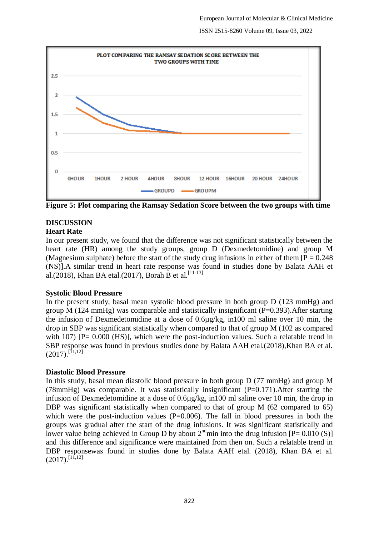

**Figure 5: Plot comparing the Ramsay Sedation Score between the two groups with time**

# **DISCUSSION**

#### **Heart Rate**

In our present study, we found that the difference was not significant statistically between the heart rate (HR) among the study groups, group D (Dexmedetomidine) and group M (Magnesium sulphate) before the start of the study drug infusions in either of them  $[P = 0.248]$ (NS)].A similar trend in heart rate response was found in studies done by Balata AAH et al.(2018), Khan BA etal.(2017), Borah B et al.<sup>[11-13]</sup>

#### **Systolic Blood Pressure**

In the present study, basal mean systolic blood pressure in both group D (123 mmHg) and group M (124 mmHg) was comparable and statistically insignificant ( $P=0.393$ ). After starting the infusion of Dexmedetomidine at a dose of 0.6µg/kg, in100 ml saline over 10 min, the drop in SBP was significant statistically when compared to that of group M (102 as compared with 107) [P= 0.000 (HS)], which were the post-induction values. Such a relatable trend in SBP response was found in previous studies done by Balata AAH etal.(2018),Khan BA et al.  $(2017).$ <sup>[11,12]</sup>

## **Diastolic Blood Pressure**

In this study, basal mean diastolic blood pressure in both group D (77 mmHg) and group M (78mmHg) was comparable. It was statistically insignificant  $(P=0.171)$ . After starting the infusion of Dexmedetomidine at a dose of 0.6µg/kg, in100 ml saline over 10 min, the drop in DBP was significant statistically when compared to that of group M (62 compared to 65) which were the post-induction values  $(P=0.006)$ . The fall in blood pressures in both the groups was gradual after the start of the drug infusions. It was significant statistically and lower value being achieved in Group D by about  $2^{nd}$  min into the drug infusion  $[P = 0.010(S)]$ and this difference and significance were maintained from then on. Such a relatable trend in DBP responsewas found in studies done by Balata AAH etal. (2018), Khan BA et al.  $(2017)$ .<sup>[11,12]</sup>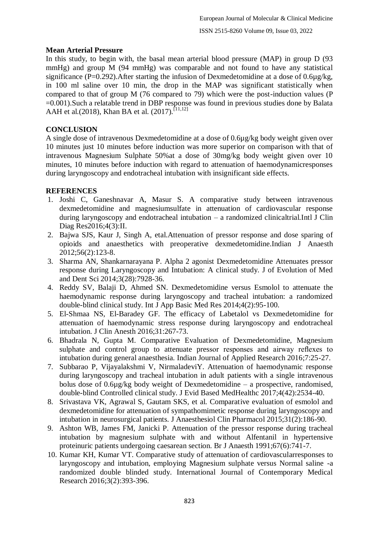## **Mean Arterial Pressure**

In this study, to begin with, the basal mean arterial blood pressure (MAP) in group D (93 mmHg) and group M (94 mmHg) was comparable and not found to have any statistical significance (P=0.292). After starting the infusion of Dexmedetomidine at a dose of 0.6µg/kg, in 100 ml saline over 10 min, the drop in the MAP was significant statistically when compared to that of group M (76 compared to 79) which were the post-induction values (P =0.001).Such a relatable trend in DBP response was found in previous studies done by Balata AAH et al.(2018), Khan BA et al. (2017).[11,12]

## **CONCLUSION**

A single dose of intravenous Dexmedetomidine at a dose of 0.6µg/kg body weight given over 10 minutes just 10 minutes before induction was more superior on comparison with that of intravenous Magnesium Sulphate 50%at a dose of 30mg/kg body weight given over 10 minutes, 10 minutes before induction with regard to attenuation of haemodynamicresponses during laryngoscopy and endotracheal intubation with insignificant side effects.

## **REFERENCES**

- 1. Joshi C, Ganeshnavar A, Masur S. A comparative study between intravenous dexmedetomidine and magnesiumsulfate in attenuation of cardiovascular response during laryngoscopy and endotracheal intubation – a randomized clinicaltrial.Intl J Clin Diag Res2016;4(3):II.
- 2. Bajwa SJS, Kaur J, Singh A, etal.Attenuation of pressor response and dose sparing of opioids and anaesthetics with preoperative dexmedetomidine.Indian J Anaesth 2012;56(2):123-8.
- 3. Sharma AN, Shankarnarayana P. Alpha 2 agonist Dexmedetomidine Attenuates pressor response during Laryngoscopy and Intubation: A clinical study. J of Evolution of Med and Dent Sci 2014;3(28):7928-36.
- 4. Reddy SV, Balaji D, Ahmed SN. Dexmedetomidine versus Esmolol to attenuate the haemodynamic response during laryngoscopy and tracheal intubation: a randomized double-blind clinical study. Int J App Basic Med Res 2014;4(2):95-100.
- 5. El-Shmaa NS, El-Baradey GF. The efficacy of Labetalol vs Dexmedetomidine for attenuation of haemodynamic stress response during laryngoscopy and endotracheal intubation. J Clin Anesth 2016;31:267-73.
- 6. Bhadrala N, Gupta M. Comparative Evaluation of Dexmedetomidine, Magnesium sulphate and control group to attenuate pressor responses and airway reflexes to intubation during general anaesthesia. Indian Journal of Applied Research 2016;7:25-27.
- 7. Subbarao P, Vijayalakshmi V, NirmaladeviY. Attenuation of haemodynamic response during laryngoscopy and tracheal intubation in adult patients with a single intravenous bolus dose of 0.6µg/kg body weight of Dexmedetomidine – a prospective, randomised, double-blind Controlled clinical study. J Evid Based MedHealthc 2017;4(42):2534-40.
- 8. Srivastava VK, Agrawal S, Gautam SKS, et al. Comparative evaluation of esmolol and dexmedetomidine for attenuation of sympathomimetic response during laryngoscopy and intubation in neurosurgical patients. J Anaesthesiol Clin Pharmacol 2015;31(2):186-90.
- 9. Ashton WB, James FM, Janicki P. Attenuation of the pressor response during tracheal intubation by magnesium sulphate with and without Alfentanil in hypertensive proteinuric patients undergoing caesarean section. Br J Anaesth 1991;67(6):741-7.
- 10. Kumar KH, Kumar VT. Comparative study of attenuation of cardiovascularresponses to laryngoscopy and intubation, employing Magnesium sulphate versus Normal saline -a randomized double blinded study. International Journal of Contemporary Medical Research 2016;3(2):393-396.